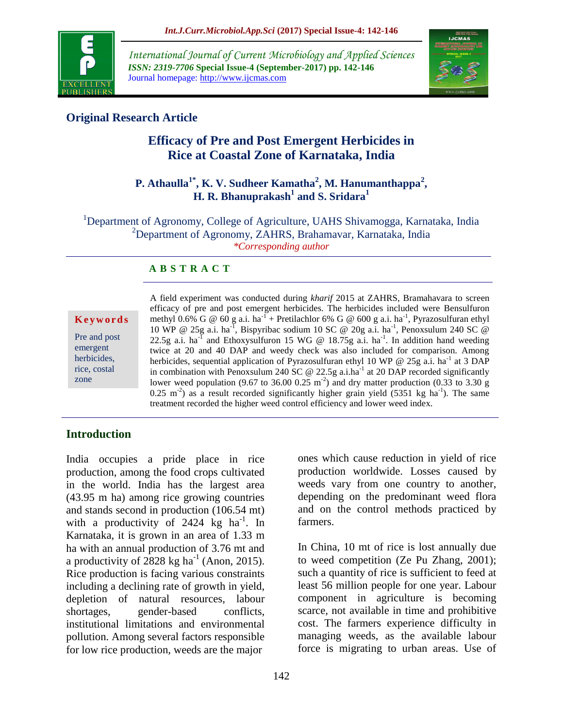

*International Journal of Current Microbiology and Applied Sciences ISSN: 2319-7706* **Special Issue-4 (September-2017) pp. 142-146** Journal homepage: http://www.ijcmas.com



# **Original Research Article**

# **Efficacy of Pre and Post Emergent Herbicides in Rice at Coastal Zone of Karnataka, India**

# **P. Athaulla1\* , K. V. Sudheer Kamatha<sup>2</sup> , M. Hanumanthappa<sup>2</sup> , H. R. Bhanuprakash<sup>1</sup> and S. Sridara<sup>1</sup>**

<sup>1</sup>Department of Agronomy, College of Agriculture, UAHS Shivamogga, Karnataka, India <sup>2</sup>Department of Agronomy, ZAHRS, Brahamavar, Karnataka, India *\*Corresponding author*

### **A B S T R A C T**

**K e y w o r d s**

Pre and post emergent herbicides, rice, costal zone

A field experiment was conducted during *kharif* 2015 at ZAHRS, Bramahavara to screen efficacy of pre and post emergent herbicides. The herbicides included were Bensulfuron methyl 0.6% G @ 60 g a.i. ha<sup>-1</sup> + Pretilachlor 6% G @ 600 g a.i. ha<sup>-1</sup>, Pyrazosulfuran ethyl 10 WP @ 25g a.i. ha<sup>-T</sup>, Bispyribac sodium 10 SC @ 20g a.i. ha<sup>-1</sup>, Penoxsulum 240 SC @ 22.5g a.i. ha<sup>-I</sup> and Ethoxysulfuron 15 WG @ 18.75g a.i. ha<sup>-1</sup>. In addition hand weeding twice at 20 and 40 DAP and weedy check was also included for comparison. Among herbicides, sequential application of Pyrazosulfuran ethyl 10 WP @ 25g a.i. ha<sup>-1</sup> at 3 DAP in combination with Penoxsulum 240 SC @ 22.5g a.i.ha<sup>-1</sup> at 20 DAP recorded significantly lower weed population (9.67 to 36.00 0.25 m<sup>-2</sup>) and dry matter production (0.33 to 3.30 g  $0.25 \text{ m}^2$ ) as a result recorded significantly higher grain yield (5351 kg ha<sup>-1</sup>). The same treatment recorded the higher weed control efficiency and lower weed index.

# **Introduction**

India occupies a pride place in rice production, among the food crops cultivated in the world. India has the largest area (43.95 m ha) among rice growing countries and stands second in production (106.54 mt) with a productivity of 2424 kg ha<sup>-1</sup>. In Karnataka, it is grown in an area of 1.33 m ha with an annual production of 3.76 mt and a productivity of  $2828$  kg ha<sup>-1</sup> (Anon, 2015). Rice production is facing various constraints including a declining rate of growth in yield, depletion of natural resources, labour shortages, gender-based conflicts, institutional limitations and environmental pollution. Among several factors responsible for low rice production, weeds are the major

ones which cause reduction in yield of rice production worldwide. Losses caused by weeds vary from one country to another, depending on the predominant weed flora and on the control methods practiced by farmers.

In China, 10 mt of rice is lost annually due to weed competition (Ze Pu Zhang, 2001); such a quantity of rice is sufficient to feed at least 56 million people for one year. Labour component in agriculture is becoming scarce, not available in time and prohibitive cost. The farmers experience difficulty in managing weeds, as the available labour force is migrating to urban areas. Use of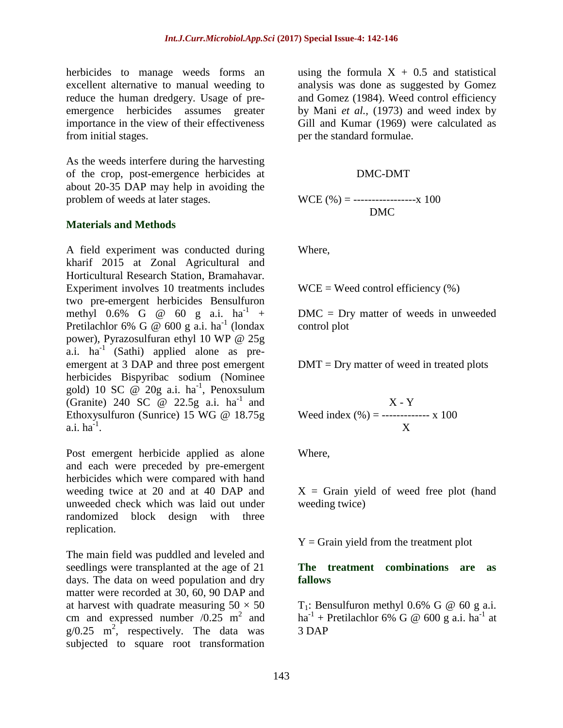herbicides to manage weeds forms an excellent alternative to manual weeding to reduce the human dredgery. Usage of preemergence herbicides assumes greater importance in the view of their effectiveness from initial stages.

As the weeds interfere during the harvesting of the crop, post-emergence herbicides at about 20-35 DAP may help in avoiding the problem of weeds at later stages.

#### **Materials and Methods**

A field experiment was conducted during kharif 2015 at Zonal Agricultural and Horticultural Research Station, Bramahavar. Experiment involves 10 treatments includes two pre-emergent herbicides Bensulfuron methyl  $0.6\%$  G @ 60 g a.i. ha<sup>-1</sup> + Pretilachlor 6% G @ 600 g a.i. ha<sup>-1</sup> (londax power), Pyrazosulfuran ethyl 10 WP @ 25g  $a.i.$  ha<sup>-1</sup> (Sathi) applied alone as preemergent at 3 DAP and three post emergent herbicides Bispyribac sodium (Nominee gold) 10 SC  $\omega$  20g a.i. ha<sup>-1</sup>, Penoxsulum (Granite) 240 SC  $\omega$  22.5g a.i. ha<sup>-1</sup> and Ethoxysulfuron (Sunrice) 15 WG @ 18.75g  $a.i.$   $ha<sup>1</sup>$ .

Post emergent herbicide applied as alone and each were preceded by pre-emergent herbicides which were compared with hand weeding twice at 20 and at 40 DAP and unweeded check which was laid out under randomized block design with three replication.

The main field was puddled and leveled and seedlings were transplanted at the age of 21 days. The data on weed population and dry matter were recorded at 30, 60, 90 DAP and at harvest with quadrate measuring  $50 \times 50$ cm and expressed number  $/0.25 \text{ m}^2$  and  $g/0.25$  m<sup>2</sup>, respectively. The data was subjected to square root transformation

using the formula  $X + 0.5$  and statistical analysis was done as suggested by Gomez and Gomez (1984). Weed control efficiency by Mani *et al.,* (1973) and weed index by Gill and Kumar (1969) were calculated as per the standard formulae.

#### DMC-DMT

WCE  $(\% ) =$  ------------------- x 100 DMC

Where,

 $WCE = Weed control efficiency (%)$ 

DMC = Dry matter of weeds in unweeded control plot

 $DMT = Dry$  matter of weed in treated plots

$$
X - Y
$$
  
Weed index (%) = 
$$
X - Y
$$
  
X 100

Where,

 $X =$  Grain yield of weed free plot (hand weeding twice)

 $Y =$  Grain yield from the treatment plot

### **The treatment combinations are as fallows**

 $T_1$ : Bensulfuron methyl 0.6% G @ 60 g a.i.  $ha^{-1}$  + Pretilachlor 6% G @ 600 g a.i.  $ha^{-1}$  at 3 DAP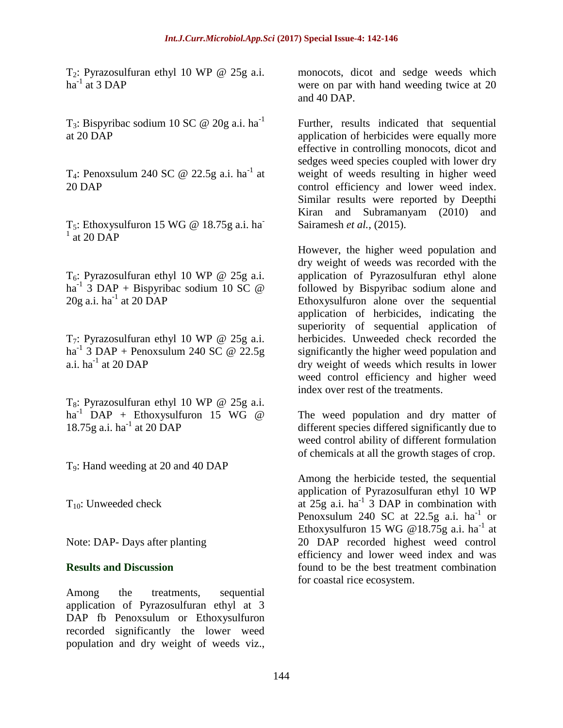$T_2$ : Pyrazosulfuran ethyl 10 WP @ 25g a.i. ha $^{-1}$  at 3 DAP

T<sub>3</sub>: Bispyribac sodium 10 SC @ 20g a.i. ha<sup>-1</sup> at 20 DAP

T<sub>4</sub>: Penoxsulum 240 SC @ 22.5g a.i. ha<sup>-1</sup> at 20 DAP

 $T_5$ : Ethoxysulfuron 15 WG @ 18.75g a.i. ha  $1$  at 20 DAP

 $T_6$ : Pyrazosulfuran ethyl 10 WP @ 25g a.i. ha<sup>-1</sup> 3 DAP + Bispyribac sodium 10 SC  $\omega$  $20g$  a.i. ha<sup>-1</sup> at  $20\overrightarrow{DAP}$ 

 $T_7$ : Pyrazosulfuran ethyl 10 WP @ 25g a.i. ha<sup>-1</sup> 3 DAP + Penoxsulum 240 SC @ 22.5g a.i.  $ha^{-1}$  at 20 DAP

 $T_8$ : Pyrazosulfuran ethyl 10 WP @ 25g a.i. ha<sup>-1</sup> DAP + Ethoxysulfuron 15 WG  $\omega$ 18.75g a.i. ha<sup>-1</sup> at 20 DAP

T9: Hand weeding at 20 and 40 DAP

 $T_{10}$ : Unweeded check

Note: DAP- Days after planting

#### **Results and Discussion**

Among the treatments, sequential application of Pyrazosulfuran ethyl at 3 DAP fb Penoxsulum or Ethoxysulfuron recorded significantly the lower weed population and dry weight of weeds viz.,

monocots, dicot and sedge weeds which were on par with hand weeding twice at 20 and 40 DAP.

Further, results indicated that sequential application of herbicides were equally more effective in controlling monocots, dicot and sedges weed species coupled with lower dry weight of weeds resulting in higher weed control efficiency and lower weed index. Similar results were reported by Deepthi Kiran and Subramanyam (2010) and Sairamesh *et al.,* (2015).

However, the higher weed population and dry weight of weeds was recorded with the application of Pyrazosulfuran ethyl alone followed by Bispyribac sodium alone and Ethoxysulfuron alone over the sequential application of herbicides, indicating the superiority of sequential application of herbicides. Unweeded check recorded the significantly the higher weed population and dry weight of weeds which results in lower weed control efficiency and higher weed index over rest of the treatments.

The weed population and dry matter of different species differed significantly due to weed control ability of different formulation of chemicals at all the growth stages of crop.

Among the herbicide tested, the sequential application of Pyrazosulfuran ethyl 10 WP at  $25g$  a.i. ha<sup>-1</sup> 3 DAP in combination with Penoxsulum 240 SC at 22.5g a.i.  $ha^{-1}$  or Ethoxysulfuron 15 WG @18.75g a.i. ha<sup>-1</sup> at 20 DAP recorded highest weed control efficiency and lower weed index and was found to be the best treatment combination for coastal rice ecosystem.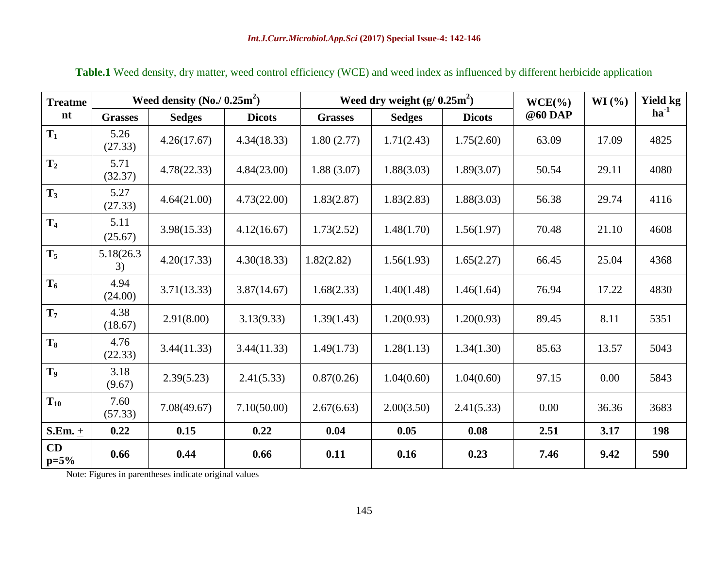| <b>Treatme</b> | Weed density $(No. / 0.25m^2)$ |               |               | Weed dry weight $(g/0.25m^2)$ |               |               | $WCE(\%)$ | WI (%) | <b>Yield kg</b> |
|----------------|--------------------------------|---------------|---------------|-------------------------------|---------------|---------------|-----------|--------|-----------------|
| nt             | <b>Grasses</b>                 | <b>Sedges</b> | <b>Dicots</b> | <b>Grasses</b>                | <b>Sedges</b> | <b>Dicots</b> | @60 DAP   |        | $ha^{-1}$       |
| $T_1$          | 5.26<br>(27.33)                | 4.26(17.67)   | 4.34(18.33)   | 1.80(2.77)                    | 1.71(2.43)    | 1.75(2.60)    | 63.09     | 17.09  | 4825            |
| T <sub>2</sub> | 5.71<br>(32.37)                | 4.78(22.33)   | 4.84(23.00)   | 1.88(3.07)                    | 1.88(3.03)    | 1.89(3.07)    | 50.54     | 29.11  | 4080            |
| $T_3$          | 5.27<br>(27.33)                | 4.64(21.00)   | 4.73(22.00)   | 1.83(2.87)                    | 1.83(2.83)    | 1.88(3.03)    | 56.38     | 29.74  | 4116            |
| T <sub>4</sub> | 5.11<br>(25.67)                | 3.98(15.33)   | 4.12(16.67)   | 1.73(2.52)                    | 1.48(1.70)    | 1.56(1.97)    | 70.48     | 21.10  | 4608            |
| $T_5$          | 5.18(26.3)<br>3)               | 4.20(17.33)   | 4.30(18.33)   | 1.82(2.82)                    | 1.56(1.93)    | 1.65(2.27)    | 66.45     | 25.04  | 4368            |
| $T_6$          | 4.94<br>(24.00)                | 3.71(13.33)   | 3.87(14.67)   | 1.68(2.33)                    | 1.40(1.48)    | 1.46(1.64)    | 76.94     | 17.22  | 4830            |
| $T_7$          | 4.38<br>(18.67)                | 2.91(8.00)    | 3.13(9.33)    | 1.39(1.43)                    | 1.20(0.93)    | 1.20(0.93)    | 89.45     | 8.11   | 5351            |
| $T_8$          | 4.76<br>(22.33)                | 3.44(11.33)   | 3.44(11.33)   | 1.49(1.73)                    | 1.28(1.13)    | 1.34(1.30)    | 85.63     | 13.57  | 5043            |
| T <sub>9</sub> | 3.18<br>(9.67)                 | 2.39(5.23)    | 2.41(5.33)    | 0.87(0.26)                    | 1.04(0.60)    | 1.04(0.60)    | 97.15     | 0.00   | 5843            |
| $T_{10}$       | 7.60<br>(57.33)                | 7.08(49.67)   | 7.10(50.00)   | 2.67(6.63)                    | 2.00(3.50)    | 2.41(5.33)    | 0.00      | 36.36  | 3683            |
| S.Em. $\pm$    | 0.22                           | 0.15          | 0.22          | 0.04                          | 0.05          | 0.08          | 2.51      | 3.17   | 198             |
| CD<br>$p=5%$   | 0.66                           | 0.44          | 0.66          | 0.11                          | 0.16          | 0.23          | 7.46      | 9.42   | 590             |

**Table.1** Weed density, dry matter, weed control efficiency (WCE) and weed index as influenced by different herbicide application

Note: Figures in parentheses indicate original values